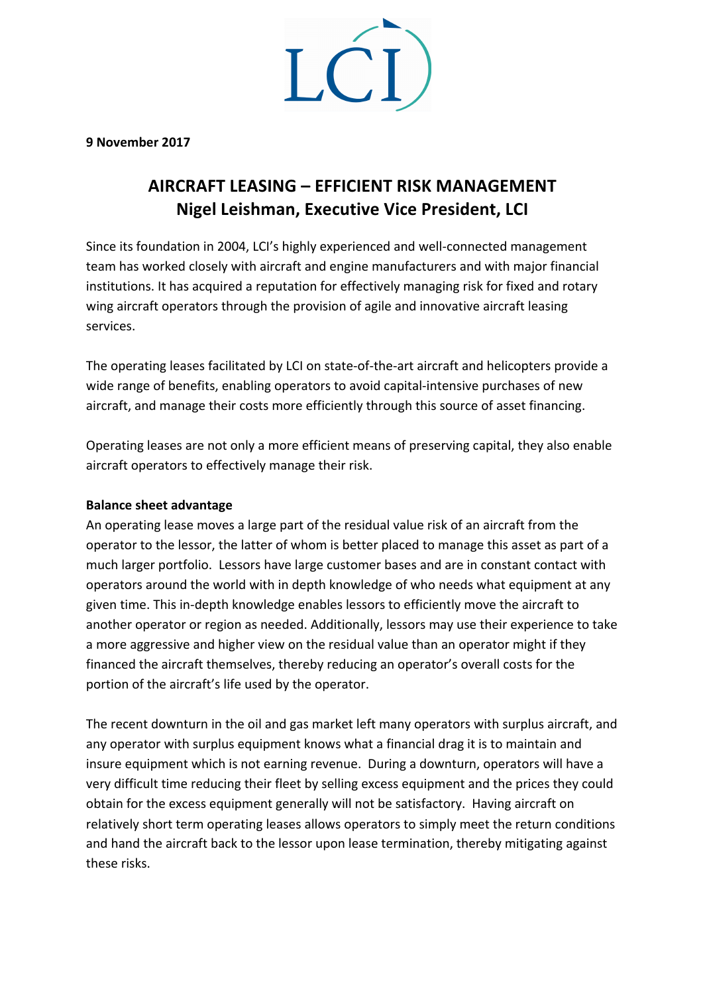$LC$ 

**9 November 2017**

# **AIRCRAFT LEASING – EFFICIENT RISK MANAGEMENT Nigel Leishman, Executive Vice President, LCI**

Since its foundation in 2004, LCI's highly experienced and well-connected management team has worked closely with aircraft and engine manufacturers and with major financial institutions. It has acquired a reputation for effectively managing risk for fixed and rotary wing aircraft operators through the provision of agile and innovative aircraft leasing services.

The operating leases facilitated by LCI on state-of-the-art aircraft and helicopters provide a wide range of benefits, enabling operators to avoid capital-intensive purchases of new aircraft, and manage their costs more efficiently through this source of asset financing.

Operating leases are not only a more efficient means of preserving capital, they also enable aircraft operators to effectively manage their risk.

#### **Balance sheet advantage**

An operating lease moves a large part of the residual value risk of an aircraft from the operator to the lessor, the latter of whom is better placed to manage this asset as part of a much larger portfolio. Lessors have large customer bases and are in constant contact with operators around the world with in depth knowledge of who needs what equipment at any given time. This in-depth knowledge enables lessors to efficiently move the aircraft to another operator or region as needed. Additionally, lessors may use their experience to take a more aggressive and higher view on the residual value than an operator might if they financed the aircraft themselves, thereby reducing an operator's overall costs for the portion of the aircraft's life used by the operator.

The recent downturn in the oil and gas market left many operators with surplus aircraft, and any operator with surplus equipment knows what a financial drag it is to maintain and insure equipment which is not earning revenue. During a downturn, operators will have a very difficult time reducing their fleet by selling excess equipment and the prices they could obtain for the excess equipment generally will not be satisfactory. Having aircraft on relatively short term operating leases allows operators to simply meet the return conditions and hand the aircraft back to the lessor upon lease termination, thereby mitigating against these risks.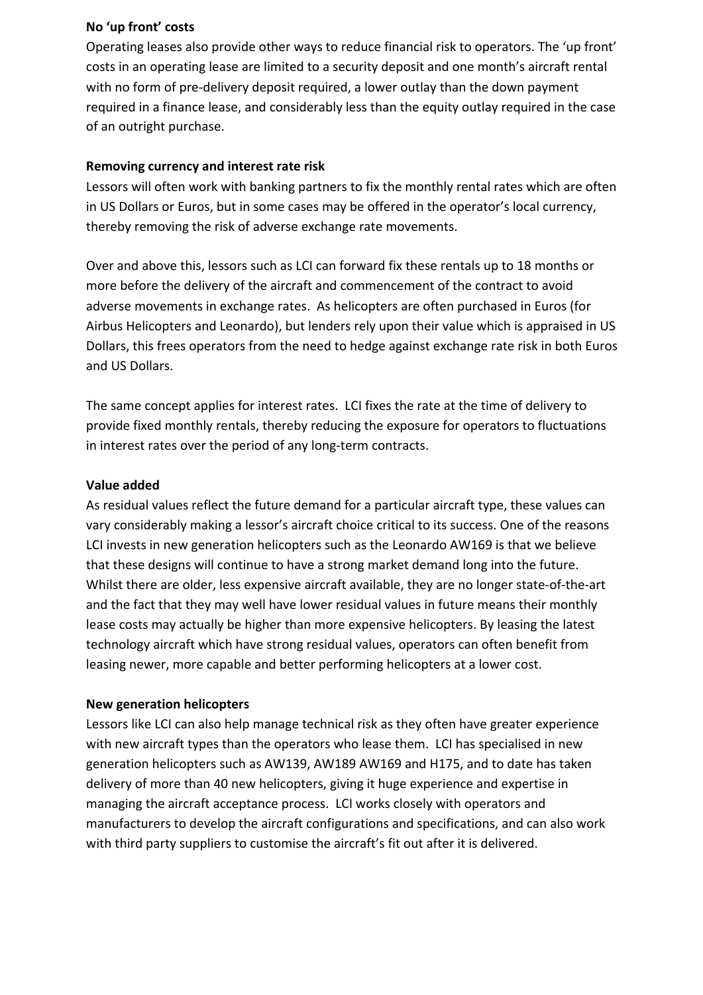### **No 'up front' costs**

Operating leases also provide other ways to reduce financial risk to operators. The 'up front' costs in an operating lease are limited to a security deposit and one month's aircraft rental with no form of pre-delivery deposit required, a lower outlay than the down payment required in a finance lease, and considerably less than the equity outlay required in the case of an outright purchase.

#### **Removing currency and interest rate risk**

Lessors will often work with banking partners to fix the monthly rental rates which are often in US Dollars or Euros, but in some cases may be offered in the operator's local currency, thereby removing the risk of adverse exchange rate movements.

Over and above this, lessors such as LCI can forward fix these rentals up to 18 months or more before the delivery of the aircraft and commencement of the contract to avoid adverse movements in exchange rates. As helicopters are often purchased in Euros (for Airbus Helicopters and Leonardo), but lenders rely upon their value which is appraised in US Dollars, this frees operators from the need to hedge against exchange rate risk in both Euros and US Dollars.

The same concept applies for interest rates. LCI fixes the rate at the time of delivery to provide fixed monthly rentals, thereby reducing the exposure for operators to fluctuations in interest rates over the period of any long-term contracts.

#### **Value added**

As residual values reflect the future demand for a particular aircraft type, these values can vary considerably making a lessor's aircraft choice critical to its success. One of the reasons LCI invests in new generation helicopters such as the Leonardo AW169 is that we believe that these designs will continue to have a strong market demand long into the future. Whilst there are older, less expensive aircraft available, they are no longer state-of-the-art and the fact that they may well have lower residual values in future means their monthly lease costs may actually be higher than more expensive helicopters. By leasing the latest technology aircraft which have strong residual values, operators can often benefit from leasing newer, more capable and better performing helicopters at a lower cost.

#### **New generation helicopters**

Lessors like LCI can also help manage technical risk as they often have greater experience with new aircraft types than the operators who lease them. LCI has specialised in new generation helicopters such as AW139, AW189 AW169 and H175, and to date has taken delivery of more than 40 new helicopters, giving it huge experience and expertise in managing the aircraft acceptance process. LCI works closely with operators and manufacturers to develop the aircraft configurations and specifications, and can also work with third party suppliers to customise the aircraft's fit out after it is delivered.